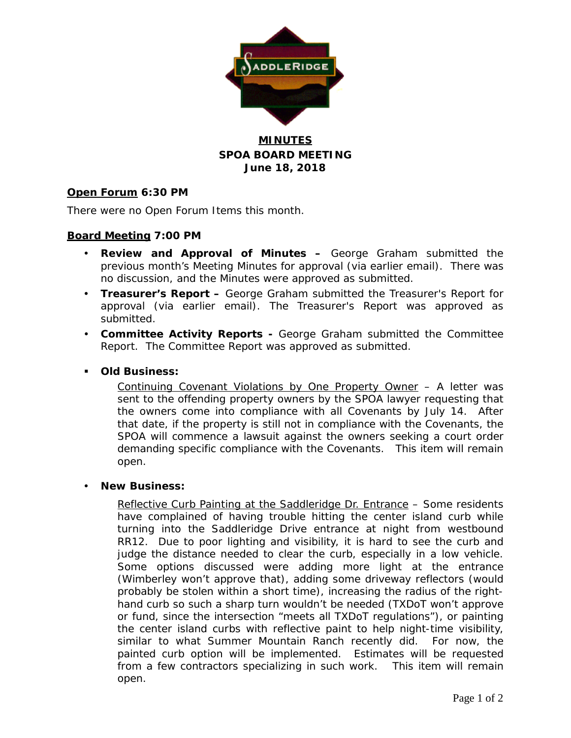

## **MINUTES SPOA BOARD MEETING June 18, 2018**

## **Open Forum 6:30 PM**

There were no Open Forum Items this month.

## **Board Meeting 7:00 PM**

- **Review and Approval of Minutes –** George Graham submitted the previous month's Meeting Minutes for approval (via earlier email). There was no discussion, and the Minutes were approved as submitted.
- **Treasurer's Report –** George Graham submitted the Treasurer's Report for approval (via earlier email). The Treasurer's Report was approved as submitted.
- **Committee Activity Reports -** George Graham submitted the Committee Report. The Committee Report was approved as submitted.

### **Old Business:**

Continuing Covenant Violations by One Property Owner – A letter was sent to the offending property owners by the SPOA lawyer requesting that the owners come into compliance with all Covenants by July 14. After that date, if the property is still not in compliance with the Covenants, the SPOA will commence a lawsuit against the owners seeking a court order demanding specific compliance with the Covenants. This item will remain open.

#### **New Business:**

Reflective Curb Painting at the Saddleridge Dr. Entrance – Some residents have complained of having trouble hitting the center island curb while turning into the Saddleridge Drive entrance at night from westbound RR12. Due to poor lighting and visibility, it is hard to see the curb and judge the distance needed to clear the curb, especially in a low vehicle. Some options discussed were adding more light at the entrance (Wimberley won't approve that), adding some driveway reflectors (would probably be stolen within a short time), increasing the radius of the righthand curb so such a sharp turn wouldn't be needed (TXDoT won't approve or fund, since the intersection "meets all TXDoT regulations"), or painting the center island curbs with reflective paint to help night-time visibility, similar to what Summer Mountain Ranch recently did. For now, the painted curb option will be implemented. Estimates will be requested from a few contractors specializing in such work. This item will remain open.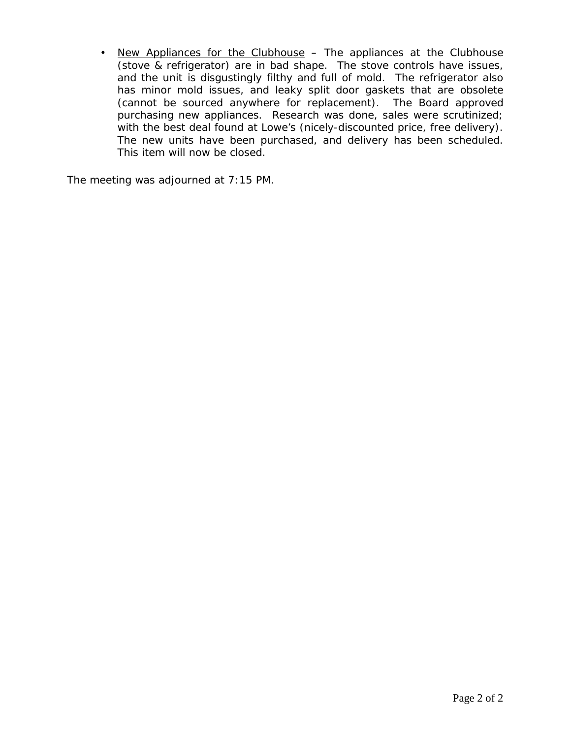• New Appliances for the Clubhouse – The appliances at the Clubhouse (stove & refrigerator) are in bad shape. The stove controls have issues, and the unit is disgustingly filthy and full of mold. The refrigerator also has minor mold issues, and leaky split door gaskets that are obsolete (cannot be sourced anywhere for replacement). The Board approved purchasing new appliances. Research was done, sales were scrutinized; with the best deal found at Lowe's (nicely-discounted price, free delivery). The new units have been purchased, and delivery has been scheduled. This item will now be closed.

The meeting was adjourned at 7:15 PM.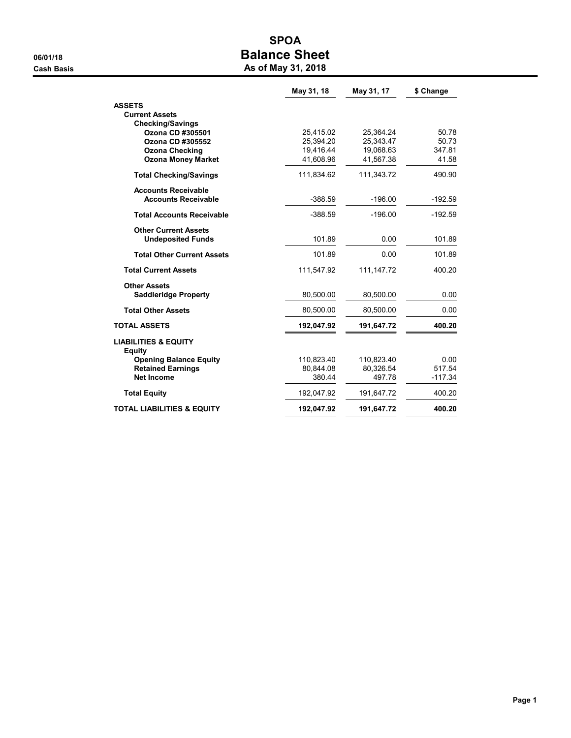# SPOA 06/01/18 OS/01/18 Cash Basis **As of May 31, 2018**

|                                                           | May 31, 18              | May 31, 17              | \$ Change       |  |  |
|-----------------------------------------------------------|-------------------------|-------------------------|-----------------|--|--|
| <b>ASSETS</b>                                             |                         |                         |                 |  |  |
| <b>Current Assets</b>                                     |                         |                         |                 |  |  |
| <b>Checking/Savings</b>                                   |                         |                         |                 |  |  |
| Ozona CD #305501                                          | 25,415.02               | 25,364.24               | 50.78           |  |  |
| Ozona CD #305552                                          | 25.394.20               | 25.343.47               | 50.73           |  |  |
| <b>Ozona Checking</b>                                     | 19,416.44<br>41,608.96  | 19,068.63<br>41,567.38  | 347.81<br>41.58 |  |  |
| <b>Ozona Money Market</b>                                 |                         |                         |                 |  |  |
| <b>Total Checking/Savings</b>                             | 111,834.62              | 111,343.72              | 490.90          |  |  |
| <b>Accounts Receivable</b>                                |                         |                         |                 |  |  |
| <b>Accounts Receivable</b>                                | $-388.59$               | $-196.00$               | $-192.59$       |  |  |
| <b>Total Accounts Receivable</b>                          | $-388.59$               | $-196.00$               | $-192.59$       |  |  |
| <b>Other Current Assets</b>                               |                         |                         |                 |  |  |
| <b>Undeposited Funds</b>                                  | 101.89                  | 0.00                    | 101.89          |  |  |
| <b>Total Other Current Assets</b>                         | 101.89                  | 0.00                    | 101.89          |  |  |
| <b>Total Current Assets</b>                               | 111,547.92              | 111, 147. 72            | 400.20          |  |  |
| <b>Other Assets</b>                                       |                         |                         |                 |  |  |
| <b>Saddleridge Property</b>                               | 80,500.00               | 80,500.00               | 0.00            |  |  |
| <b>Total Other Assets</b>                                 | 80,500.00               | 80,500.00               | 0.00            |  |  |
| <b>TOTAL ASSETS</b>                                       | 192,047.92              | 191,647.72              | 400.20          |  |  |
| <b>LIABILITIES &amp; EQUITY</b>                           |                         |                         |                 |  |  |
| <b>Equity</b>                                             |                         |                         |                 |  |  |
| <b>Opening Balance Equity</b><br><b>Retained Earnings</b> | 110,823.40<br>80,844.08 | 110,823.40<br>80,326.54 | 0.00<br>517.54  |  |  |
| <b>Net Income</b>                                         | 380.44                  | 497.78                  | $-117.34$       |  |  |
|                                                           |                         |                         |                 |  |  |
| <b>Total Equity</b>                                       | 192,047.92              | 191,647.72              | 400.20          |  |  |
| <b>TOTAL LIABILITIES &amp; EQUITY</b>                     | 192,047.92              | 191,647.72              | 400.20          |  |  |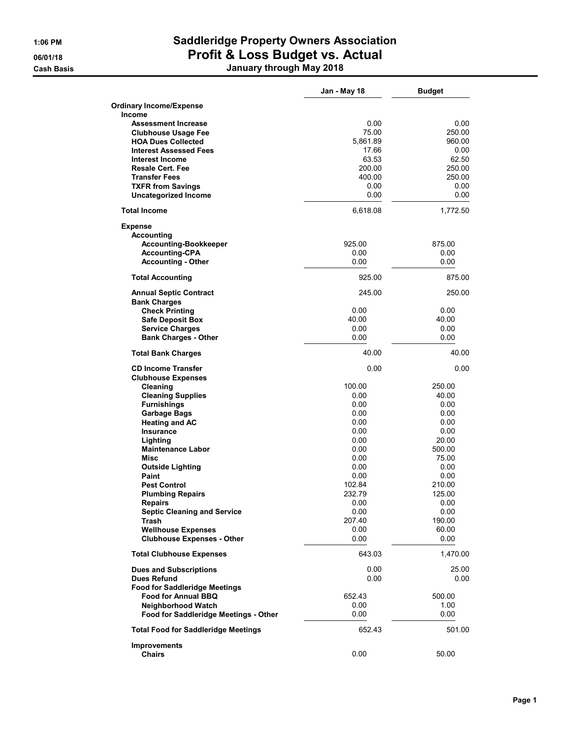# 1:06 PM Saddleridge Property Owners Association 06/01/18 **Profit & Loss Budget vs. Actual** Cash Basis January through May 2018

|                                                   | Jan - May 18     | <b>Budget</b>    |
|---------------------------------------------------|------------------|------------------|
| <b>Ordinary Income/Expense</b>                    |                  |                  |
| Income                                            |                  |                  |
| <b>Assessment Increase</b>                        | 0.00             | 0.00             |
| <b>Clubhouse Usage Fee</b>                        | 75.00            | 250.00           |
| <b>HOA Dues Collected</b>                         | 5,861.89         | 960.00           |
| <b>Interest Assessed Fees</b>                     | 17.66            | 0.00             |
| Interest Income                                   | 63.53            | 62.50            |
| <b>Resale Cert. Fee</b><br><b>Transfer Fees</b>   | 200.00<br>400.00 | 250.00<br>250.00 |
| <b>TXFR from Savings</b>                          | 0.00             | 0.00             |
| <b>Uncategorized Income</b>                       | 0.00             | 0.00             |
| <b>Total Income</b>                               | 6,618.08         | 1,772.50         |
| <b>Expense</b>                                    |                  |                  |
| <b>Accounting</b>                                 |                  |                  |
| <b>Accounting-Bookkeeper</b>                      | 925.00           | 875.00           |
| <b>Accounting-CPA</b>                             | 0.00             | 0.00             |
| <b>Accounting - Other</b>                         | 0.00             | 0.00             |
| <b>Total Accounting</b>                           | 925.00           | 875.00           |
| <b>Annual Septic Contract</b>                     | 245.00           | 250.00           |
| <b>Bank Charges</b>                               |                  |                  |
| <b>Check Printing</b>                             | 0.00             | 0.00             |
| <b>Safe Deposit Box</b><br><b>Service Charges</b> | 40.00<br>0.00    | 40.00<br>0.00    |
| <b>Bank Charges - Other</b>                       | 0.00             | 0.00             |
| <b>Total Bank Charges</b>                         | 40.00            | 40.00            |
| <b>CD Income Transfer</b>                         | 0.00             | 0.00             |
| <b>Clubhouse Expenses</b>                         |                  |                  |
| Cleaning                                          | 100.00           | 250.00           |
| <b>Cleaning Supplies</b>                          | 0.00             | 40.00            |
| <b>Furnishings</b>                                | 0.00             | 0.00             |
| <b>Garbage Bags</b>                               | 0.00             | 0.00             |
| <b>Heating and AC</b>                             | 0.00             | 0.00             |
| <b>Insurance</b>                                  | 0.00             | 0.00             |
| Lighting                                          | 0.00             | 20.00            |
| <b>Maintenance Labor</b><br>Misc                  | 0.00<br>0.00     | 500.00<br>75.00  |
|                                                   | 0.00             | 0.00             |
| <b>Outside Lighting</b><br>Paint                  | 0.00             | 0.00             |
| <b>Pest Control</b>                               | 102.84           | 210.00           |
| <b>Plumbing Repairs</b>                           | 232.79           | 125.00           |
| Repairs                                           | 0.00             | 0.00             |
| <b>Septic Cleaning and Service</b>                | 0.00             | 0.00             |
| Trash                                             | 207.40           | 190.00           |
| <b>Wellhouse Expenses</b>                         | 0.00             | 60.00            |
| <b>Clubhouse Expenses - Other</b>                 | 0.00             | 0.00             |
| <b>Total Clubhouse Expenses</b>                   | 643.03           | 1,470.00         |
| <b>Dues and Subscriptions</b>                     | 0.00             | 25.00            |
| <b>Dues Refund</b>                                | 0.00             | $0.00\,$         |
| <b>Food for Saddleridge Meetings</b>              |                  |                  |
| <b>Food for Annual BBQ</b>                        | 652.43           | 500.00           |
| <b>Neighborhood Watch</b>                         | 0.00             | 1.00             |
| Food for Saddleridge Meetings - Other             | 0.00             | 0.00             |
| <b>Total Food for Saddleridge Meetings</b>        | 652.43           | 501.00           |
| <b>Improvements</b>                               | 0.00             |                  |
| <b>Chairs</b>                                     |                  | 50.00            |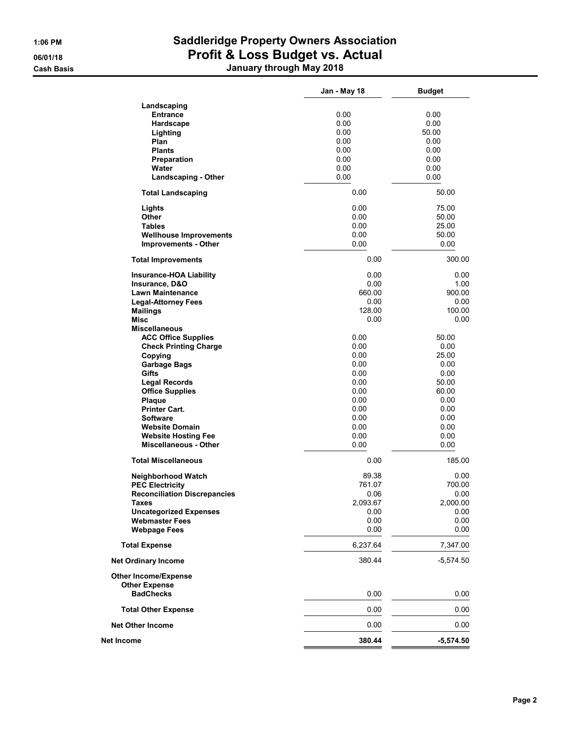# 1:06 PM Saddleridge Property Owners Association 06/01/18 **Profit & Loss Budget vs. Actual** Cash Basis January through May 2018

|                                     | Jan - May 18 | <b>Budget</b> |  |  |  |  |
|-------------------------------------|--------------|---------------|--|--|--|--|
| Landscaping                         |              |               |  |  |  |  |
| <b>Entrance</b>                     | 0.00         | 0.00          |  |  |  |  |
| Hardscape                           | 0.00         | 0.00          |  |  |  |  |
| Lighting                            | 0.00         | 50.00         |  |  |  |  |
| Plan                                | 0.00         | 0.00          |  |  |  |  |
| <b>Plants</b>                       | 0.00         | 0.00          |  |  |  |  |
|                                     | 0.00         | 0.00          |  |  |  |  |
| <b>Preparation</b>                  |              |               |  |  |  |  |
| Water                               | 0.00         | 0.00          |  |  |  |  |
| <b>Landscaping - Other</b>          | 0.00         | 0.00          |  |  |  |  |
| <b>Total Landscaping</b>            | 0.00         | 50.00         |  |  |  |  |
| Lights                              | 0.00         | 75.00         |  |  |  |  |
| <b>Other</b>                        | 0.00         | 50.00         |  |  |  |  |
| <b>Tables</b>                       | 0.00         | 25.00         |  |  |  |  |
| <b>Wellhouse Improvements</b>       | 0.00         | 50.00         |  |  |  |  |
| <b>Improvements - Other</b>         | 0.00         | 0.00          |  |  |  |  |
| <b>Total Improvements</b>           | 0.00         | 300.00        |  |  |  |  |
| <b>Insurance-HOA Liability</b>      | 0.00         | 0.00          |  |  |  |  |
| Insurance, D&O                      | 0.00         | 1.00          |  |  |  |  |
| <b>Lawn Maintenance</b>             | 660.00       | 900.00        |  |  |  |  |
| <b>Legal-Attorney Fees</b>          | 0.00         | 0.00          |  |  |  |  |
| <b>Mailings</b>                     | 128.00       | 100.00        |  |  |  |  |
| Misc                                | 0.00         | 0.00          |  |  |  |  |
| <b>Miscellaneous</b>                |              |               |  |  |  |  |
| <b>ACC Office Supplies</b>          | 0.00         | 50.00         |  |  |  |  |
| <b>Check Printing Charge</b>        | 0.00         | 0.00          |  |  |  |  |
| Copying                             | 0.00         | 25.00         |  |  |  |  |
|                                     |              |               |  |  |  |  |
| <b>Garbage Bags</b>                 | 0.00         | 0.00          |  |  |  |  |
| Gifts                               | 0.00         | 0.00          |  |  |  |  |
| <b>Legal Records</b>                | 0.00         | 50.00         |  |  |  |  |
| <b>Office Supplies</b>              | 0.00         | 60.00         |  |  |  |  |
| Plaque                              | 0.00         | 0.00          |  |  |  |  |
| <b>Printer Cart.</b>                | 0.00         | 0.00          |  |  |  |  |
| <b>Software</b>                     | 0.00         | 0.00          |  |  |  |  |
|                                     | 0.00         | 0.00          |  |  |  |  |
| <b>Website Domain</b>               |              |               |  |  |  |  |
| <b>Website Hosting Fee</b>          | 0.00         | 0.00          |  |  |  |  |
| <b>Miscellaneous - Other</b>        | 0.00         | 0.00          |  |  |  |  |
| <b>Total Miscellaneous</b>          | 0.00         | 185.00        |  |  |  |  |
| Neighborhood Watch                  | 89.38        | 0.00          |  |  |  |  |
| <b>PEC Electricity</b>              | 761.07       | 700.00        |  |  |  |  |
| <b>Reconciliation Discrepancies</b> | 0.06         | 0.00          |  |  |  |  |
| Taxes                               | 2,093.67     | 2,000.00      |  |  |  |  |
| <b>Uncategorized Expenses</b>       | 0.00         | 0.00          |  |  |  |  |
| <b>Webmaster Fees</b>               | 0.00         | 0.00          |  |  |  |  |
| <b>Webpage Fees</b>                 | 0.00         | 0.00          |  |  |  |  |
| <b>Total Expense</b>                | 6,237.64     | 7,347.00      |  |  |  |  |
| <b>Net Ordinary Income</b>          | 380.44       | -5,574.50     |  |  |  |  |
| <b>Other Income/Expense</b>         |              |               |  |  |  |  |
| <b>Other Expense</b>                |              |               |  |  |  |  |
| <b>BadChecks</b>                    | 0.00         | 0.00          |  |  |  |  |
| <b>Total Other Expense</b>          | 0.00         | 0.00          |  |  |  |  |
| <b>Net Other Income</b>             | 0.00         | 0.00          |  |  |  |  |
| Net Income                          | 380.44       | $-5,574.50$   |  |  |  |  |
|                                     |              |               |  |  |  |  |